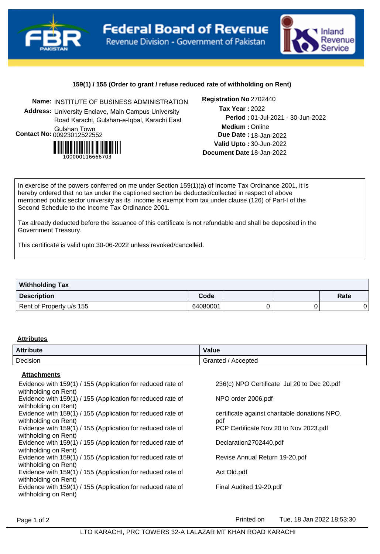



## **159(1) / 155 (Order to grant / refuse reduced rate of withholding on Rent)**

**Name:** INSTITUTE OF BUSINESS ADMINISTRATION **Registration No Address:** University Enclave, Main Campus University Road Karachi, Gulshan-e-Iqbal, Karachi East Gulshan Town **Contact No:**00923012522552



### Registration No 2702440

**Medium :** Online 01-Jul-2021 - 30-Jun-2022 **Period : Due Date : 18-Jan-2022 Valid Upto :** 30-Jun-2022 **Document Date** 18-Jan-2022 2022 **Tax Year :**

In exercise of the powers conferred on me under Section 159(1)(a) of Income Tax Ordinance 2001, it is hereby ordered that no tax under the captioned section be deducted/collected in respect of above mentioned public sector university as its income is exempt from tax under clause (126) of Part-I of the Second Schedule to the Income Tax Ordinance 2001.

Tax already deducted before the issuance of this certificate is not refundable and shall be deposited in the Government Treasury.

This certificate is valid upto 30-06-2022 unless revoked/cancelled.

| <b>Withholding Tax</b>   |          |  |      |
|--------------------------|----------|--|------|
| Description              | Code     |  | Rate |
| Rent of Property u/s 155 | 64080001 |  |      |

#### **Attributes**

| <b>Attribute</b> | <b>Value</b>            |
|------------------|-------------------------|
| Decision         | Granted /<br>' Accepted |

### **Attachments**

| , ,,,,,,,,,,,,,,,,                                                                  |                                                      |
|-------------------------------------------------------------------------------------|------------------------------------------------------|
| Evidence with 159(1) / 155 (Application for reduced rate of<br>withholding on Rent) | 236(c) NPO Certificate Jul 20 to Dec 20.pdf          |
| Evidence with 159(1) / 155 (Application for reduced rate of                         | NPO order 2006.pdf                                   |
| withholding on Rent)                                                                |                                                      |
| Evidence with 159(1) / 155 (Application for reduced rate of<br>withholding on Rent) | certificate against charitable donations NPO.<br>pdf |
| Evidence with 159(1) / 155 (Application for reduced rate of<br>withholding on Rent) | PCP Certificate Nov 20 to Nov 2023.pdf               |
| Evidence with 159(1) / 155 (Application for reduced rate of                         | Declaration2702440.pdf                               |
| withholding on Rent)                                                                |                                                      |
| Evidence with 159(1) / 155 (Application for reduced rate of                         | Revise Annual Return 19-20.pdf                       |
| withholding on Rent)                                                                |                                                      |
| Evidence with 159(1) / 155 (Application for reduced rate of                         | Act Old.pdf                                          |
| withholding on Rent)                                                                |                                                      |
| Evidence with 159(1) / 155 (Application for reduced rate of<br>withholding on Rent) | Final Audited 19-20.pdf                              |
|                                                                                     |                                                      |

Page 1 of 2 **Printed on** Tue, 18 Jan 2022 18:53:30